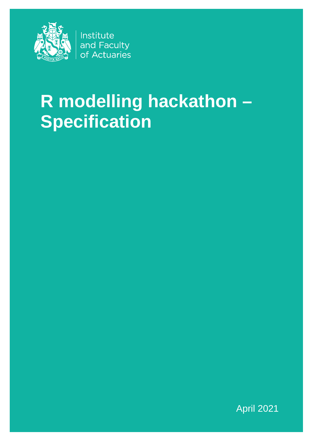

Institute and Faculty of Actuaries

# R modelling hackathon -**Specification**

**April 2021**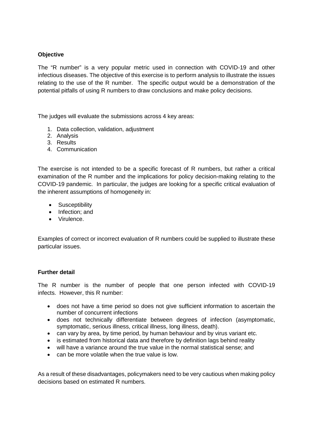## **Objective**

The "R number" is a very popular metric used in connection with COVID-19 and other infectious diseases. The objective of this exercise is to perform analysis to illustrate the issues relating to the use of the R number. The specific output would be a demonstration of the potential pitfalls of using R numbers to draw conclusions and make policy decisions.

The judges will evaluate the submissions across 4 key areas:

- 1. Data collection, validation, adjustment
- 2. Analysis
- 3. Results
- 4. Communication

The exercise is not intended to be a specific forecast of R numbers, but rather a critical examination of the R number and the implications for policy decision-making relating to the COVID-19 pandemic. In particular, the judges are looking for a specific critical evaluation of the inherent assumptions of homogeneity in:

- Susceptibility
- Infection; and
- Virulence.

Examples of correct or incorrect evaluation of R numbers could be supplied to illustrate these particular issues.

#### **Further detail**

The R number is the number of people that one person infected with COVID-19 infects. However, this R number:

- does not have a time period so does not give sufficient information to ascertain the number of concurrent infections
- does not technically differentiate between degrees of infection (asymptomatic, symptomatic, serious illness, critical illness, long illness, death).
- can vary by area, by time period, by human behaviour and by virus variant etc.
- is estimated from historical data and therefore by definition lags behind reality
- will have a variance around the true value in the normal statistical sense; and
- can be more volatile when the true value is low.

As a result of these disadvantages, policymakers need to be very cautious when making policy decisions based on estimated R numbers.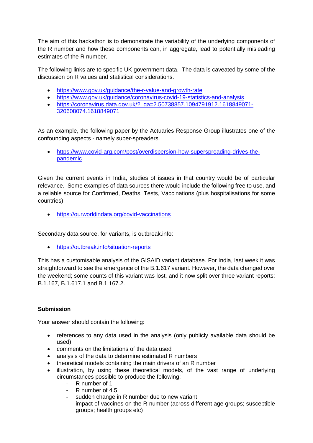The aim of this hackathon is to demonstrate the variability of the underlying components of the R number and how these components can, in aggregate, lead to potentially misleading estimates of the R number.

The following links are to specific UK government data. The data is caveated by some of the discussion on R values and statistical considerations.

- <https://www.gov.uk/guidance/the-r-value-and-growth-rate>
- <https://www.gov.uk/guidance/coronavirus-covid-19-statistics-and-analysis>
- [https://coronavirus.data.gov.uk/?\\_ga=2.50738857.1094791912.1618849071-](https://coronavirus.data.gov.uk/?_ga=2.50738857.1094791912.1618849071-320608074.1618849071) [320608074.1618849071](https://coronavirus.data.gov.uk/?_ga=2.50738857.1094791912.1618849071-320608074.1618849071)

As an example, the following paper by the Actuaries Response Group illustrates one of the confounding aspects - namely super-spreaders.

• [https://www.covid-arg.com/post/overdispersion-how-superspreading-drives-the](https://www.covid-arg.com/post/overdispersion-how-superspreading-drives-the-pandemic)[pandemic](https://www.covid-arg.com/post/overdispersion-how-superspreading-drives-the-pandemic)

Given the current events in India, studies of issues in that country would be of particular relevance. Some examples of data sources there would include the following free to use, and a reliable source for Confirmed, Deaths, Tests, Vaccinations (plus hospitalisations for some countries).

• <https://ourworldindata.org/covid-vaccinations>

Secondary data source, for variants, is outbreak.info:

• <https://outbreak.info/situation-reports>

This has a customisable analysis of the GISAID variant database. For India, last week it was straightforward to see the emergence of the B.1.617 variant. However, the data changed over the weekend; some counts of this variant was lost, and it now split over three variant reports: B.1.167, B.1.617.1 and B.1.167.2.

# **Submission**

Your answer should contain the following:

- references to any data used in the analysis (only publicly available data should be used)
- comments on the limitations of the data used
- analysis of the data to determine estimated R numbers
- theoretical models containing the main drivers of an R number
- illustration, by using these theoretical models, of the vast range of underlying circumstances possible to produce the following:
	- R number of 1
	- R number of 4.5
	- sudden change in R number due to new variant
	- impact of vaccines on the R number (across different age groups; susceptible groups; health groups etc)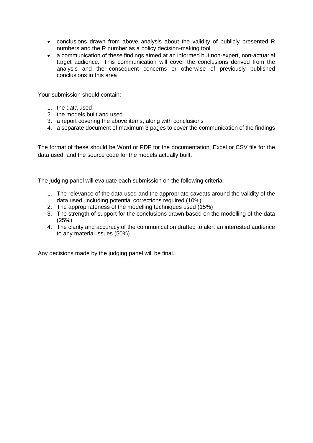- conclusions drawn from above analysis about the validity of publicly presented R numbers and the R number as a policy decision-making tool
- a communication of these findings aimed at an informed but non-expert, non-actuarial target audience. This communication will cover the conclusions derived from the analysis and the consequent concerns or otherwise of previously published conclusions in this area

Your submission should contain:

- 1. the data used
- 2. the models built and used
- 3. a report covering the above items, along with conclusions
- 4. a separate document of maximum 3 pages to cover the communication of the findings

The format of these should be Word or PDF for the documentation, Excel or CSV file for the data used, and the source code for the models actually built.

The judging panel will evaluate each submission on the following criteria:

- 1. The relevance of the data used and the appropriate caveats around the validity of the data used, including potential corrections required (10%)
- 2. The appropriateness of the modelling techniques used (15%)
- 3. The strength of support for the conclusions drawn based on the modelling of the data (25%)
- 4. The clarity and accuracy of the communication drafted to alert an interested audience to any material issues (50%)

Any decisions made by the judging panel will be final.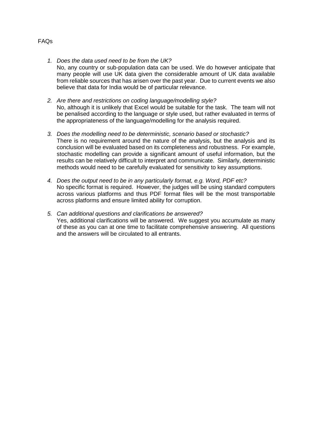*1. Does the data used need to be from the UK?*

No, any country or sub-population data can be used. We do however anticipate that many people will use UK data given the considerable amount of UK data available from reliable sources that has arisen over the past year. Due to current events we also believe that data for India would be of particular relevance.

- *2. Are there and restrictions on coding language/modelling style?* No, although it is unlikely that Excel would be suitable for the task. The team will not be penalised according to the language or style used, but rather evaluated in terms of the appropriateness of the language/modelling for the analysis required.
- *3. Does the modelling need to be deterministic, scenario based or stochastic?* There is no requirement around the nature of the analysis, but the analysis and its conclusion will be evaluated based on its completeness and robustness. For example, stochastic modelling can provide a significant amount of useful information, but the results can be relatively difficult to interpret and communicate. Similarly, deterministic methods would need to be carefully evaluated for sensitivity to key assumptions.
- *4. Does the output need to be in any particularly format, e.g. Word, PDF etc?* No specific format is required. However, the judges will be using standard computers across various platforms and thus PDF format files will be the most transportable across platforms and ensure limited ability for corruption.
- *5. Can additional questions and clarifications be answered?* Yes, additional clarifications will be answered. We suggest you accumulate as many of these as you can at one time to facilitate comprehensive answering. All questions and the answers will be circulated to all entrants.

### FAQs